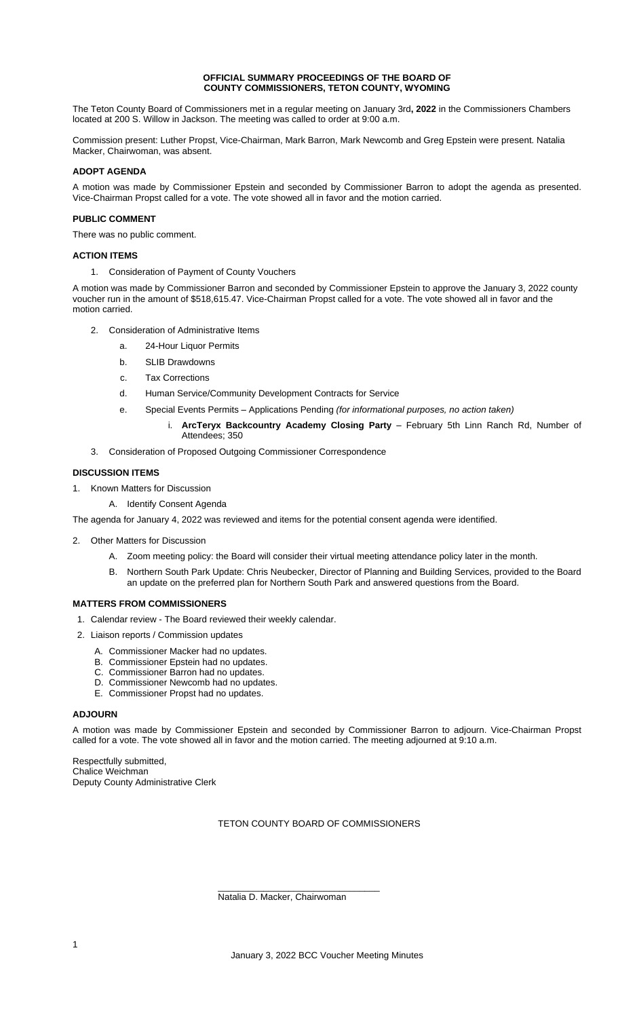#### **OFFICIAL SUMMARY PROCEEDINGS OF THE BOARD OF COUNTY COMMISSIONERS, TETON COUNTY, WYOMING**

The Teton County Board of Commissioners met in a regular meeting on January 3rd**, 2022** in the Commissioners Chambers located at 200 S. Willow in Jackson. The meeting was called to order at 9:00 a.m.

Commission present: Luther Propst, Vice-Chairman, Mark Barron, Mark Newcomb and Greg Epstein were present. Natalia Macker, Chairwoman, was absent.

# **ADOPT AGENDA**

A motion was made by Commissioner Epstein and seconded by Commissioner Barron to adopt the agenda as presented. Vice-Chairman Propst called for a vote. The vote showed all in favor and the motion carried.

# **PUBLIC COMMENT**

There was no public comment.

# **ACTION ITEMS**

1. Consideration of Payment of County Vouchers

A motion was made by Commissioner Barron and seconded by Commissioner Epstein to approve the January 3, 2022 county voucher run in the amount of \$518,615.47. Vice-Chairman Propst called for a vote. The vote showed all in favor and the motion carried.

- 2. Consideration of Administrative Items
	- a. 24-Hour Liquor Permits
	- b. SLIB Drawdowns
	- c. Tax Corrections
	- d. Human Service/Community Development Contracts for Service
	- e. Special Events Permits Applications Pending *(for informational purposes, no action taken)*
		- i. **ArcTeryx Backcountry Academy Closing Party** February 5th Linn Ranch Rd, Number of Attendees; 350
- 3. Consideration of Proposed Outgoing Commissioner Correspondence

# **DISCUSSION ITEMS**

- 1. Known Matters for Discussion
	- A. Identify Consent Agenda

The agenda for January 4, 2022 was reviewed and items for the potential consent agenda were identified.

- 2. Other Matters for Discussion
	- A. Zoom meeting policy: the Board will consider their virtual meeting attendance policy later in the month.
	- B. Northern South Park Update: Chris Neubecker, Director of Planning and Building Services, provided to the Board an update on the preferred plan for Northern South Park and answered questions from the Board.

# **MATTERS FROM COMMISSIONERS**

- 1. Calendar review The Board reviewed their weekly calendar.
- 2. Liaison reports / Commission updates
	- A. Commissioner Macker had no updates.
	- B. Commissioner Epstein had no updates.
	- C. Commissioner Barron had no updates.
	- D. Commissioner Newcomb had no updates.
	- E. Commissioner Propst had no updates.

#### **ADJOURN**

A motion was made by Commissioner Epstein and seconded by Commissioner Barron to adjourn. Vice-Chairman Propst called for a vote. The vote showed all in favor and the motion carried. The meeting adjourned at 9:10 a.m.

Respectfully submitted, Chalice Weichman Deputy County Administrative Clerk

TETON COUNTY BOARD OF COMMISSIONERS

\_\_\_\_\_\_\_\_\_\_\_\_\_\_\_\_\_\_\_\_\_\_\_\_\_\_\_\_\_\_\_\_ Natalia D. Macker, Chairwoman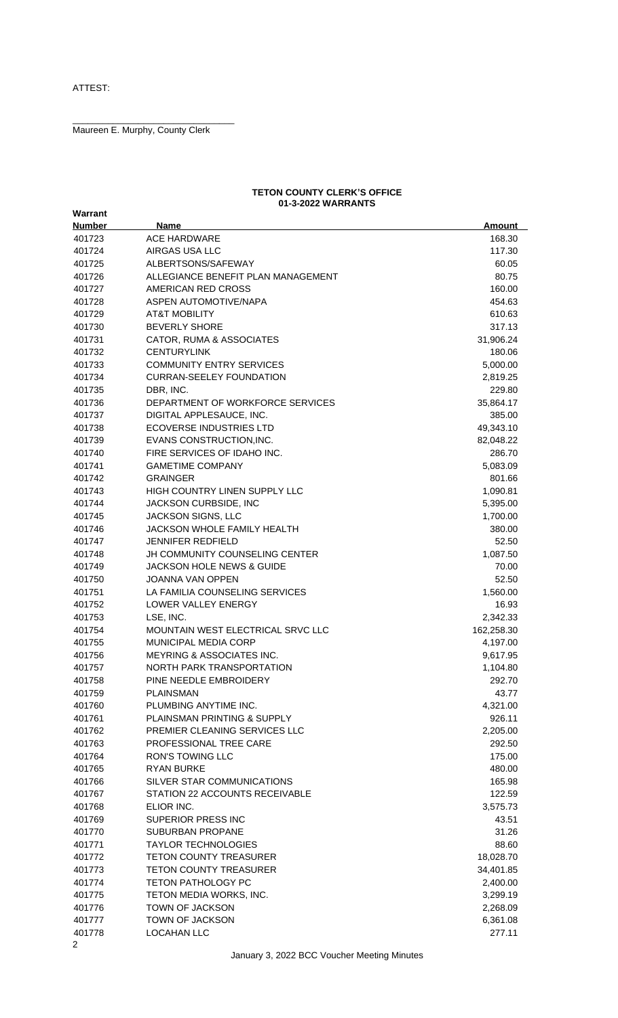Maureen E. Murphy, County Clerk

\_\_\_\_\_\_\_\_\_\_\_\_\_\_\_\_\_\_\_\_\_\_\_\_\_\_\_\_\_\_\_\_

#### **TETON COUNTY CLERK'S OFFICE 01-3-2022 WARRANTS**

| Warrant        |                                       |               |
|----------------|---------------------------------------|---------------|
| <b>Number</b>  | <b>Name</b>                           | <b>Amount</b> |
| 401723         | <b>ACE HARDWARE</b>                   | 168.30        |
| 401724         | AIRGAS USA LLC                        | 117.30        |
| 401725         | ALBERTSONS/SAFEWAY                    | 60.05         |
| 401726         | ALLEGIANCE BENEFIT PLAN MANAGEMENT    | 80.75         |
| 401727         | AMERICAN RED CROSS                    | 160.00        |
| 401728         | ASPEN AUTOMOTIVE/NAPA                 | 454.63        |
| 401729         | <b>AT&amp;T MOBILITY</b>              | 610.63        |
| 401730         | <b>BEVERLY SHORE</b>                  | 317.13        |
| 401731         | CATOR, RUMA & ASSOCIATES              | 31,906.24     |
| 401732         | <b>CENTURYLINK</b>                    | 180.06        |
| 401733         | COMMUNITY ENTRY SERVICES              | 5,000.00      |
| 401734         | <b>CURRAN-SEELEY FOUNDATION</b>       | 2,819.25      |
| 401735         | DBR, INC.                             | 229.80        |
| 401736         | DEPARTMENT OF WORKFORCE SERVICES      |               |
|                |                                       | 35,864.17     |
| 401737         | DIGITAL APPLESAUCE, INC.              | 385.00        |
| 401738         | <b>ECOVERSE INDUSTRIES LTD</b>        | 49,343.10     |
| 401739         | EVANS CONSTRUCTION, INC.              | 82,048.22     |
| 401740         | FIRE SERVICES OF IDAHO INC.           | 286.70        |
| 401741         | <b>GAMETIME COMPANY</b>               | 5,083.09      |
| 401742         | <b>GRAINGER</b>                       | 801.66        |
| 401743         | HIGH COUNTRY LINEN SUPPLY LLC         | 1,090.81      |
| 401744         | JACKSON CURBSIDE, INC                 | 5,395.00      |
| 401745         | JACKSON SIGNS, LLC                    | 1,700.00      |
| 401746         | <b>JACKSON WHOLE FAMILY HEALTH</b>    | 380.00        |
| 401747         | <b>JENNIFER REDFIELD</b>              | 52.50         |
| 401748         | <b>JH COMMUNITY COUNSELING CENTER</b> | 1,087.50      |
| 401749         | <b>JACKSON HOLE NEWS &amp; GUIDE</b>  | 70.00         |
| 401750         | <b>JOANNA VAN OPPEN</b>               | 52.50         |
| 401751         | LA FAMILIA COUNSELING SERVICES        | 1,560.00      |
| 401752         | LOWER VALLEY ENERGY                   | 16.93         |
| 401753         | LSE, INC.                             | 2,342.33      |
| 401754         | MOUNTAIN WEST ELECTRICAL SRVC LLC     | 162,258.30    |
| 401755         | MUNICIPAL MEDIA CORP                  | 4,197.00      |
| 401756         | <b>MEYRING &amp; ASSOCIATES INC.</b>  | 9,617.95      |
| 401757         | NORTH PARK TRANSPORTATION             | 1,104.80      |
| 401758         | PINE NEEDLE EMBROIDERY                | 292.70        |
| 401759         | <b>PLAINSMAN</b>                      | 43.77         |
| 401760         | PLUMBING ANYTIME INC.                 | 4,321.00      |
| 401761         | PLAINSMAN PRINTING & SUPPLY           | 926.11        |
| 401762         | PREMIER CLEANING SERVICES LLC         | 2,205.00      |
| 401763         | PROFESSIONAL TREE CARE                | 292.50        |
| 401764         | <b>RON'S TOWING LLC</b>               | 175.00        |
| 401765         | <b>RYAN BURKE</b>                     | 480.00        |
| 401766         | SILVER STAR COMMUNICATIONS            | 165.98        |
| 401767         | STATION 22 ACCOUNTS RECEIVABLE        | 122.59        |
| 401768         | ELIOR INC.                            | 3,575.73      |
| 401769         | SUPERIOR PRESS INC                    | 43.51         |
| 401770         | <b>SUBURBAN PROPANE</b>               | 31.26         |
| 401771         | <b>TAYLOR TECHNOLOGIES</b>            | 88.60         |
| 401772         | <b>TETON COUNTY TREASURER</b>         | 18,028.70     |
| 401773         | <b>TETON COUNTY TREASURER</b>         | 34,401.85     |
| 401774         | <b>TETON PATHOLOGY PC</b>             | 2,400.00      |
| 401775         | TETON MEDIA WORKS, INC.               | 3,299.19      |
| 401776         | TOWN OF JACKSON                       | 2,268.09      |
| 401777         | TOWN OF JACKSON                       | 6,361.08      |
| 401778         | LOCAHAN LLC                           | 277.11        |
| $\overline{2}$ |                                       |               |